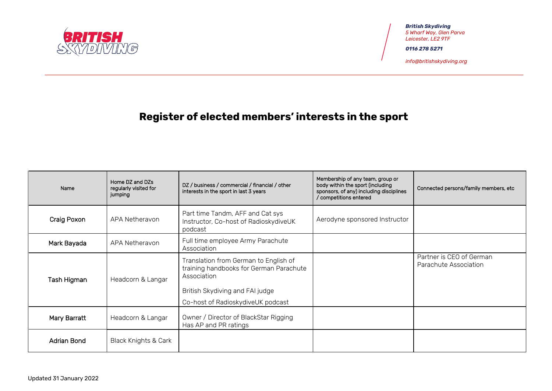

*British Skydiving 5 Wharf Way, Glen Parva Leicester, LE2 9TF*

*0116 278 5271*

*[info@britishskydiving.org](mailto:info@britishskydiving.org)*

## **Register of elected members' interests in the sport**

| Name         | Home DZ and DZs<br>regularly visited for<br>jumping | DZ / business / commercial / financial / other<br>interests in the sport in last 3 years                                                                                | Membership of any team, group or<br>body within the sport (including<br>sponsors, of any) including disciplines<br>/ competitions entered | Connected persons/family members, etc             |
|--------------|-----------------------------------------------------|-------------------------------------------------------------------------------------------------------------------------------------------------------------------------|-------------------------------------------------------------------------------------------------------------------------------------------|---------------------------------------------------|
| Craig Poxon  | APA Netheravon                                      | Part time Tandm, AFF and Cat sys<br>Instructor, Co-host of RadioskydiveUK<br>podcast                                                                                    | Aerodyne sponsored Instructor                                                                                                             |                                                   |
| Mark Bayada  | APA Netheravon                                      | Full time employee Army Parachute<br>Association                                                                                                                        |                                                                                                                                           |                                                   |
| Tash Higman  | Headcorn & Langar                                   | Translation from German to English of<br>training handbooks for German Parachute<br>Association<br>British Skydiving and FAI judge<br>Co-host of RadioskydiveUK podcast |                                                                                                                                           | Partner is CEO of German<br>Parachute Association |
| Mary Barratt | Headcorn & Langar                                   | Owner / Director of BlackStar Rigging<br>Has AP and PR ratings                                                                                                          |                                                                                                                                           |                                                   |
| Adrian Bond  | <b>Black Knights &amp; Cark</b>                     |                                                                                                                                                                         |                                                                                                                                           |                                                   |